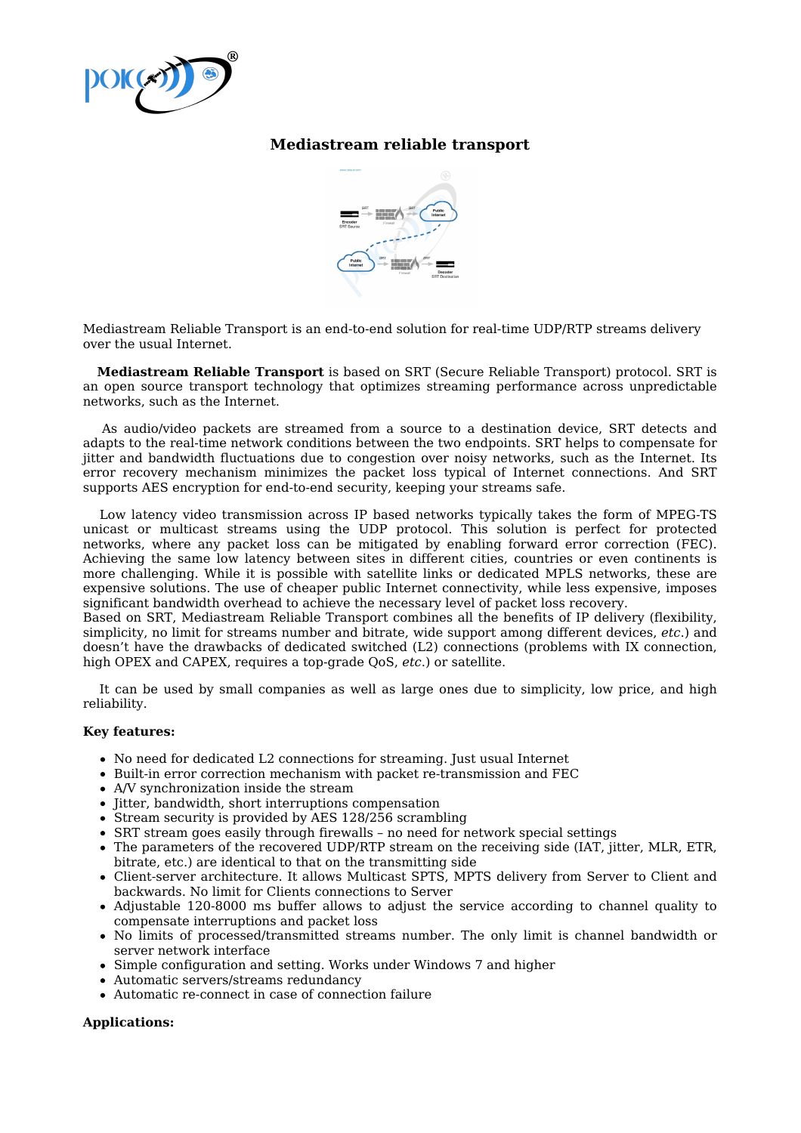

## **Mediastream reliable transport**



Mediastream Reliable Transport is an end-to-end solution for real-time UDP/RTP streams delivery over the usual Internet.

**Mediastream Reliable Transport** is based on SRT (Secure Reliable Transport) protocol. SRT is an open source transport technology that optimizes streaming performance across unpredictable networks, such as the Internet.

As audio/video packets are streamed from a source to a destination device, SRT detects and adapts to the real-time network conditions between the two endpoints. SRT helps to compensate for jitter and bandwidth fluctuations due to congestion over noisy networks, such as the Internet. Its error recovery mechanism minimizes the packet loss typical of Internet connections. And SRT supports AES encryption for end-to-end security, keeping your streams safe.

Low latency video transmission across IP based networks typically takes the form of MPEG-TS unicast or multicast streams using the UDP protocol. This solution is perfect for protected networks, where any packet loss can be mitigated by enabling forward error correction (FEC). Achieving the same low latency between sites in different cities, countries or even continents is more challenging. While it is possible with satellite links or dedicated MPLS networks, these are expensive solutions. The use of cheaper public Internet connectivity, while less expensive, imposes significant bandwidth overhead to achieve the necessary level of packet loss recovery.

Based on SRT, Mediastream Reliable Transport combines all the benefits of IP delivery (flexibility, simplicity, no limit for streams number and bitrate, wide support among different devices, *etc*.) and doesn't have the drawbacks of dedicated switched (L2) connections (problems with IX connection, high OPEX and CAPEX, requires a top-grade QoS, *etc*.) or satellite.

It can be used by small companies as well as large ones due to simplicity, low price, and high reliability.

## **Key features:**

- No need for dedicated L2 connections for streaming. Just usual Internet
- Built-in error correction mechanism with packet re-transmission and FEC
- A/V synchronization inside the stream
- Jitter, bandwidth, short interruptions compensation
- Stream security is provided by AES 128/256 scrambling
- SRT stream goes easily through firewalls no need for network special settings
- The parameters of the recovered UDP/RTP stream on the receiving side (IAT, jitter, MLR, ETR, bitrate, etc.) are identical to that on the transmitting side
- Client-server architecture. It allows Multicast SPTS, MPTS delivery from Server to Client and backwards. No limit for Clients connections to Server
- Adjustable 120-8000 ms buffer allows to adjust the service according to channel quality to compensate interruptions and packet loss
- No limits of processed/transmitted streams number. The only limit is channel bandwidth or server network interface
- Simple configuration and setting. Works under Windows 7 and higher
- Automatic servers/streams redundancy
- Automatic re-connect in case of connection failure

## **Applications:**